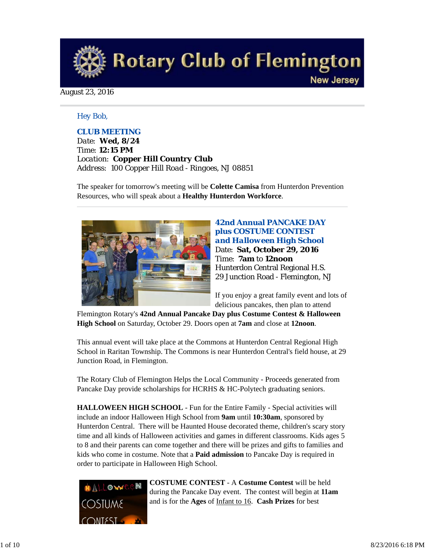

August 23, 2016

#### *Hey Bob,*

#### *CLUB MEETING*

*Date: Wed, 8/24 Time: 12:15 PM Location: Copper Hill Country Club Address: 100 Copper Hill Road - Ringoes, NJ 08851*

The speaker for tomorrow's meeting will be **Colette Camisa** from Hunterdon Prevention Resources, who will speak about a **Healthy Hunterdon Workforce**.



**42nd Annual PANCAKE DAY plus COSTUME CONTEST**  *and Halloween High School* Date: **Sat, October 29, 2016** Time: **7am** to **12noon** Hunterdon Central Regional H.S. 29 Junction Road - Flemington, NJ

If you enjoy a great family event and lots of delicious pancakes, then plan to attend

Flemington Rotary's **42nd Annual Pancake Day plus Costume Contest & Halloween High School** on Saturday, October 29. Doors open at **7am** and close at **12noon**.

This annual event will take place at the Commons at Hunterdon Central Regional High School in Raritan Township. The Commons is near Hunterdon Central's field house, at 29 Junction Road, in Flemington.

The Rotary Club of Flemington Helps the Local Community - Proceeds generated from Pancake Day provide scholarships for HCRHS & HC-Polytech graduating seniors.

**HALLOWEEN HIGH SCHOOL** - Fun for the Entire Family - Special activities will include an indoor Halloween High School from **9am** until **10:30am**, sponsored by Hunterdon Central. There will be Haunted House decorated theme, children's scary story time and all kinds of Halloween activities and games in different classrooms. Kids ages 5 to 8 and their parents can come together and there will be prizes and gifts to families and kids who come in costume. Note that a **Paid admission** to Pancake Day is required in order to participate in Halloween High School.



**COSTUME CONTEST** - A **Costume Contest** will be held during the Pancake Day event. The contest will begin at **11am** and is for the **Ages** of Infant to 16. **Cash Prizes** for best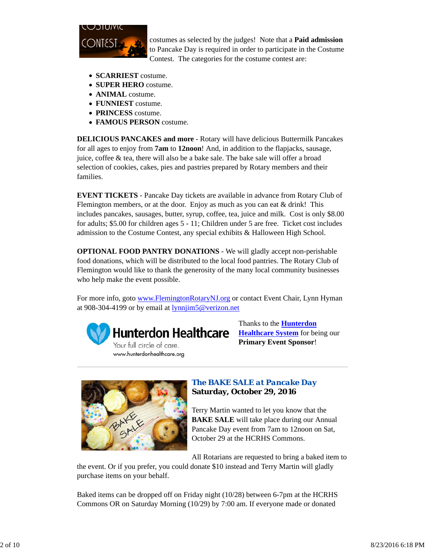

costumes as selected by the judges! Note that a **Paid admission** to Pancake Day is required in order to participate in the Costume Contest. The categories for the costume contest are:

- **SCARRIEST** costume.
- **SUPER HERO** costume.
- **ANIMAL** costume.
- **FUNNIEST** costume.
- **PRINCESS** costume.
- **FAMOUS PERSON** costume.

**DELICIOUS PANCAKES and more** - Rotary will have delicious Buttermilk Pancakes for all ages to enjoy from **7am** to **12noon**! And, in addition to the flapjacks, sausage, juice, coffee & tea, there will also be a bake sale. The bake sale will offer a broad selection of cookies, cakes, pies and pastries prepared by Rotary members and their families.

**EVENT TICKETS** - Pancake Day tickets are available in advance from Rotary Club of Flemington members, or at the door. Enjoy as much as you can eat  $&$  drink! This includes pancakes, sausages, butter, syrup, coffee, tea, juice and milk. Cost is only \$8.00 for adults; \$5.00 for children ages 5 - 11; Children under 5 are free. Ticket cost includes admission to the Costume Contest, any special exhibits & Halloween High School.

**OPTIONAL FOOD PANTRY DONATIONS** - We will gladly accept non-perishable food donations, which will be distributed to the local food pantries. The Rotary Club of Flemington would like to thank the generosity of the many local community businesses who help make the event possible.

For more info, goto www.FlemingtonRotaryNJ.org or contact Event Chair, Lynn Hyman at 908-304-4199 or by email at lynnjim5@verizon.net



Thanks to the **Hunterdon Healthcare System** for being our **Primary Event Sponsor**!



# *The BAKE SALE at Pancake Day* **Saturday, October 29, 2016**

Terry Martin wanted to let you know that the **BAKE SALE** will take place during our Annual Pancake Day event from 7am to 12noon on Sat, October 29 at the HCRHS Commons.

All Rotarians are requested to bring a baked item to

the event. Or if you prefer, you could donate \$10 instead and Terry Martin will gladly purchase items on your behalf.

Baked items can be dropped off on Friday night (10/28) between 6-7pm at the HCRHS Commons OR on Saturday Morning (10/29) by 7:00 am. If everyone made or donated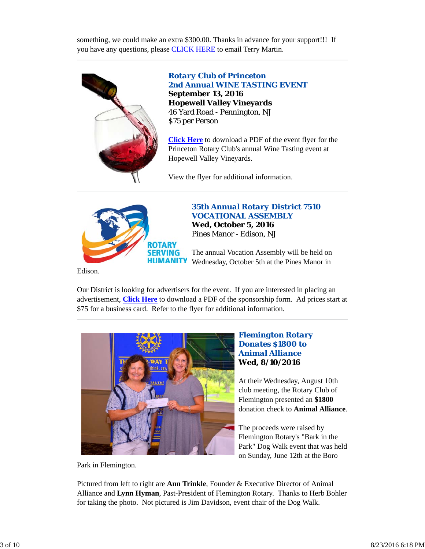something, we could make an extra \$300.00. Thanks in advance for your support!!! If you have any questions, please CLICK HERE to email Terry Martin.



*Rotary Club of Princeton 2nd Annual WINE TASTING EVENT* **September 13, 2016 Hopewell Valley Vineyards** 46 Yard Road - Pennington, NJ \$75 per Person

**Click Here** to download a PDF of the event flyer for the Princeton Rotary Club's annual Wine Tasting event at Hopewell Valley Vineyards.

View the flyer for additional information.



*35th Annual Rotary District 7510 VOCATIONAL ASSEMBLY* **Wed, October 5, 2016** Pines Manor - Edison, NJ

The annual Vocation Assembly will be held on Wednesday, October 5th at the Pines Manor in

Edison.

Our District is looking for advertisers for the event. If you are interested in placing an advertisement, **Click Here** to download a PDF of the sponsorship form. Ad prices start at \$75 for a business card. Refer to the flyer for additional information.



#### *Flemington Rotary Donates \$1800 to Animal Alliance* **Wed, 8/10/2016**

At their Wednesday, August 10th club meeting, the Rotary Club of Flemington presented an **\$1800** donation check to **Animal Alliance**.

The proceeds were raised by Flemington Rotary's "Bark in the Park" Dog Walk event that was held on Sunday, June 12th at the Boro

Park in Flemington.

Pictured from left to right are **Ann Trinkle**, Founder & Executive Director of Animal Alliance and **Lynn Hyman**, Past-President of Flemington Rotary. Thanks to Herb Bohler for taking the photo. Not pictured is Jim Davidson, event chair of the Dog Walk.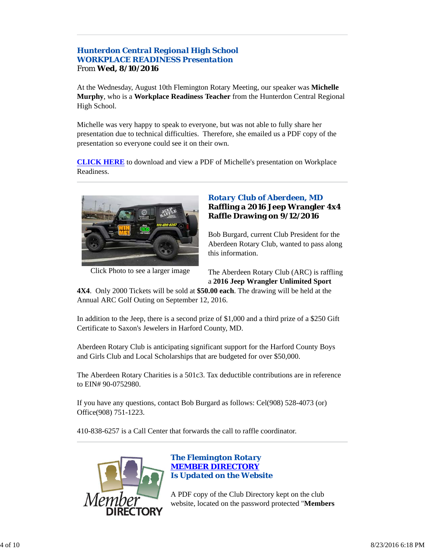# *Hunterdon Central Regional High School WORKPLACE READINESS Presentation* From **Wed, 8/10/2016**

At the Wednesday, August 10th Flemington Rotary Meeting, our speaker was **Michelle Murphy**, who is a **Workplace Readiness Teacher** from the Hunterdon Central Regional High School.

Michelle was very happy to speak to everyone, but was not able to fully share her presentation due to technical difficulties. Therefore, she emailed us a PDF copy of the presentation so everyone could see it on their own.

**CLICK HERE** to download and view a PDF of Michelle's presentation on Workplace Readiness.



Click Photo to see a larger image

## *Rotary Club of Aberdeen, MD* **Raffling a 2016 Jeep Wrangler 4x4 Raffle Drawing on 9/12/2016**

Bob Burgard, current Club President for the Aberdeen Rotary Club, wanted to pass along this information.

The Aberdeen Rotary Club (ARC) is raffling a **2016 Jeep Wrangler Unlimited Sport**

**4X4**. Only 2000 Tickets will be sold at **\$50.00 each**. The drawing will be held at the Annual ARC Golf Outing on September 12, 2016.

In addition to the Jeep, there is a second prize of \$1,000 and a third prize of a \$250 Gift Certificate to Saxon's Jewelers in Harford County, MD.

Aberdeen Rotary Club is anticipating significant support for the Harford County Boys and Girls Club and Local Scholarships that are budgeted for over \$50,000.

The Aberdeen Rotary Charities is a 501c3. Tax deductible contributions are in reference to EIN# 90-0752980.

If you have any questions, contact Bob Burgard as follows: Cel(908) 528-4073 (or) Office(908) 751-1223.

410-838-6257 is a Call Center that forwards the call to raffle coordinator.



#### *The Flemington Rotary MEMBER DIRECTORY Is Updated on the Website*

A PDF copy of the Club Directory kept on the club website, located on the password protected "**Members**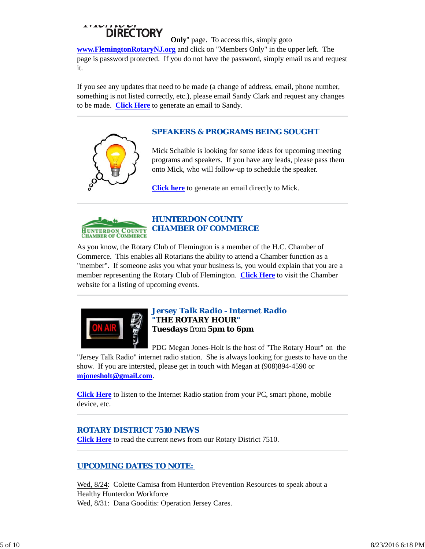# "DIRECTORY

**Only**" page. To access this, simply goto **www.FlemingtonRotaryNJ.org** and click on "Members Only" in the upper left. The page is password protected. If you do not have the password, simply email us and request it.

If you see any updates that need to be made (a change of address, email, phone number, something is not listed correctly, etc.), please email Sandy Clark and request any changes to be made. **Click Here** to generate an email to Sandy.

# *SPEAKERS & PROGRAMS BEING SOUGHT*



**Click here** to generate an email directly to Mick.



## *HUNTERDON COUNTY CHAMBER OF COMMERCE*

As you know, the Rotary Club of Flemington is a member of the H.C. Chamber of Commerce. This enables all Rotarians the ability to attend a Chamber function as a "member". If someone asks you what your business is, you would explain that you are a member representing the Rotary Club of Flemington. **Click Here** to visit the Chamber website for a listing of upcoming events.



#### *Jersey Talk Radio - Internet Radio "THE ROTARY HOUR"* **Tuesdays** from **5pm to 6pm**

PDG Megan Jones-Holt is the host of "The Rotary Hour" on the

"Jersey Talk Radio" internet radio station. She is always looking for guests to have on the show. If you are intersted, please get in touch with Megan at (908)894-4590 or **mjonesholt@gmail.com**.

**Click Here** to listen to the Internet Radio station from your PC, smart phone, mobile device, etc.

#### *ROTARY DISTRICT 7510 NEWS*

**Click Here** to read the current news from our Rotary District 7510.

# *UPCOMING DATES TO NOTE:*

Wed, 8/24: Colette Camisa from Hunterdon Prevention Resources to speak about a Healthy Hunterdon Workforce Wed, 8/31: Dana Gooditis: Operation Jersey Cares.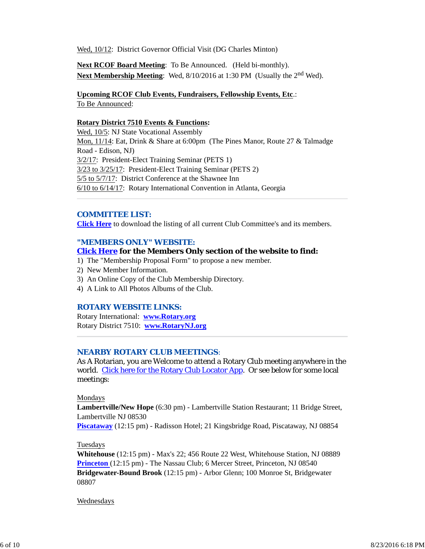Wed, 10/12: District Governor Official Visit (DG Charles Minton)

**Next RCOF Board Meeting**: To Be Announced. (Held bi-monthly). **Next Membership Meeting**: Wed, 8/10/2016 at 1:30 PM (Usually the 2<sup>nd</sup> Wed).

# **Upcoming RCOF Club Events, Fundraisers, Fellowship Events, Etc**.:

To Be Announced:

#### **Rotary District 7510 Events & Functions:**

Wed, 10/5: NJ State Vocational Assembly Mon, 11/14: Eat, Drink & Share at 6:00pm (The Pines Manor, Route 27 & Talmadge Road - Edison, NJ) 3/2/17: President-Elect Training Seminar (PETS 1) 3/23 to 3/25/17: President-Elect Training Seminar (PETS 2) 5/5 to 5/7/17: District Conference at the Shawnee Inn 6/10 to 6/14/17: Rotary International Convention in Atlanta, Georgia

#### *COMMITTEE LIST:*

**Click Here** to download the listing of all current Club Committee's and its members.

#### *"MEMBERS ONLY" WEBSITE:*

#### **Click Here for the Members Only section of the website to find:**

- 1) The "Membership Proposal Form" to propose a new member.
- 2) New Member Information.
- 3) An Online Copy of the Club Membership Directory.
- 4) A Link to All Photos Albums of the Club.

#### *ROTARY WEBSITE LINKS:*

Rotary International: **www.Rotary.org** Rotary District 7510: **www.RotaryNJ.org**

#### *NEARBY ROTARY CLUB MEETINGS:*

As A Rotarian, you are Welcome to attend a Rotary Club meeting anywhere in the world. Click here for the Rotary Club Locator App. Or see below for some local meetings:

#### Mondays

**Lambertville/New Hope** (6:30 pm) - Lambertville Station Restaurant; 11 Bridge Street, Lambertville NJ 08530

**Piscataway** (12:15 pm) - Radisson Hotel; 21 Kingsbridge Road, Piscataway, NJ 08854

#### Tuesdays

**Whitehouse** (12:15 pm) - Max's 22; 456 Route 22 West, Whitehouse Station, NJ 08889 **Princeton** (12:15 pm) - The Nassau Club; 6 Mercer Street, Princeton, NJ 08540 **Bridgewater-Bound Brook** (12:15 pm) - Arbor Glenn; 100 Monroe St, Bridgewater 08807

#### Wednesdays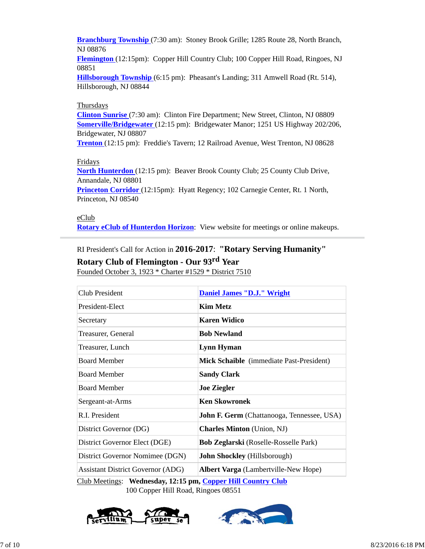**Branchburg Township** (7:30 am): Stoney Brook Grille; 1285 Route 28, North Branch, NJ 08876

**Flemington** (12:15pm): Copper Hill Country Club; 100 Copper Hill Road, Ringoes, NJ 08851

**Hillsborough Township** (6:15 pm): Pheasant's Landing; 311 Amwell Road (Rt. 514), Hillsborough, NJ 08844

#### Thursdays

**Clinton Sunrise** (7:30 am): Clinton Fire Department; New Street, Clinton, NJ 08809 **Somerville/Bridgewater** (12:15 pm): Bridgewater Manor; 1251 US Highway 202/206, Bridgewater, NJ 08807

**Trenton** (12:15 pm): Freddie's Tavern; 12 Railroad Avenue, West Trenton, NJ 08628

#### Fridays

**North Hunterdon** (12:15 pm): Beaver Brook County Club; 25 County Club Drive, Annandale, NJ 08801

**Princeton Corridor** (12:15pm): Hyatt Regency; 102 Carnegie Center, Rt. 1 North, Princeton, NJ 08540

eClub

**Rotary eClub of Hunterdon Horizon**: View website for meetings or online makeups.

RI President's Call for Action in **2016-2017**: **"Rotary Serving Humanity"**

# **Rotary Club of Flemington - Our 93rd Year**

Founded October 3, 1923 \* Charter #1529 \* District 7510

| Club President                                             | <b>Daniel James "D.J." Wright</b>                 |  |
|------------------------------------------------------------|---------------------------------------------------|--|
| President-Elect                                            | <b>Kim Metz</b>                                   |  |
| Secretary                                                  | <b>Karen Widico</b>                               |  |
| Treasurer, General                                         | <b>Bob Newland</b>                                |  |
| Treasurer, Lunch                                           | <b>Lynn Hyman</b>                                 |  |
| <b>Board Member</b>                                        | Mick Schaible (immediate Past-President)          |  |
| <b>Board Member</b>                                        | <b>Sandy Clark</b>                                |  |
| <b>Board Member</b>                                        | <b>Joe Ziegler</b>                                |  |
| Sergeant-at-Arms                                           | <b>Ken Skowronek</b>                              |  |
| R.I. President                                             | <b>John F. Germ</b> (Chattanooga, Tennessee, USA) |  |
| District Governor (DG)                                     | <b>Charles Minton</b> (Union, NJ)                 |  |
| District Governor Elect (DGE)                              | Bob Zeglarski (Roselle-Rosselle Park)             |  |
| District Governor Nomimee (DGN)                            | <b>John Shockley</b> (Hillsborough)               |  |
| <b>Assistant District Governor (ADG)</b>                   | <b>Albert Varga</b> (Lambertville-New Hope)       |  |
| Club Meetings: Wednesday 12:15 nm Conner Hill Country Club |                                                   |  |

Club Meetings: **Wednesday, 12:15 pm, Copper** 100 Copper Hill Road, Ringoes 08551



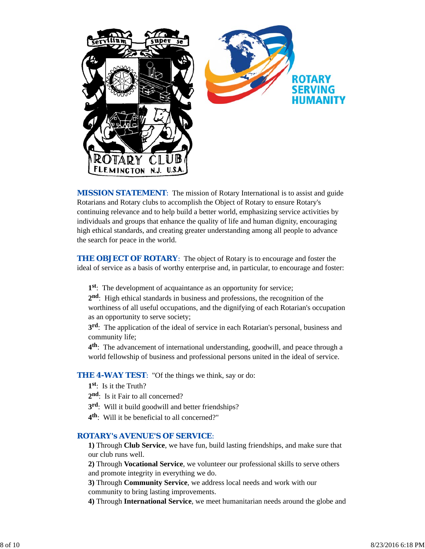

*MISSION STATEMENT*: The mission of Rotary International is to assist and guide Rotarians and Rotary clubs to accomplish the Object of Rotary to ensure Rotary's continuing relevance and to help build a better world, emphasizing service activities by individuals and groups that enhance the quality of life and human dignity, encouraging high ethical standards, and creating greater understanding among all people to advance the search for peace in the world.

**THE OBJECT OF ROTARY:** The object of Rotary is to encourage and foster the ideal of service as a basis of worthy enterprise and, in particular, to encourage and foster:

**1st**: The development of acquaintance as an opportunity for service;

**2nd**: High ethical standards in business and professions, the recognition of the worthiness of all useful occupations, and the dignifying of each Rotarian's occupation as an opportunity to serve society;

**3rd**: The application of the ideal of service in each Rotarian's personal, business and community life;

**4th**: The advancement of international understanding, goodwill, and peace through a world fellowship of business and professional persons united in the ideal of service.

**THE 4-WAY TEST:** "Of the things we think, say or do:

- **1st**: Is it the Truth?
- 2<sup>nd</sup>: Is it Fair to all concerned?
- **3rd**: Will it build goodwill and better friendships?
- **4th**: Will it be beneficial to all concerned?"

#### *ROTARY's AVENUE'S OF SERVICE*:

**1)** Through **Club Service**, we have fun, build lasting friendships, and make sure that our club runs well.

**2)** Through **Vocational Service**, we volunteer our professional skills to serve others and promote integrity in everything we do.

**3)** Through **Community Service**, we address local needs and work with our community to bring lasting improvements.

**4)** Through **International Service**, we meet humanitarian needs around the globe and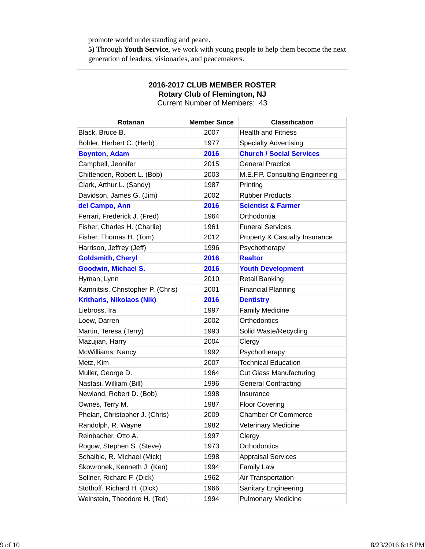promote world understanding and peace.

**5)** Through **Youth Service**, we work with young people to help them become the next generation of leaders, visionaries, and peacemakers.

| <b>Rotarian</b>                   | <b>Member Since</b> | <b>Classification</b>           |
|-----------------------------------|---------------------|---------------------------------|
| Black, Bruce B.                   | 2007                | <b>Health and Fitness</b>       |
| Bohler, Herbert C. (Herb)         | 1977                | <b>Specialty Advertising</b>    |
| <b>Boynton, Adam</b>              | 2016                | <b>Church / Social Services</b> |
| Campbell, Jennifer                | 2015                | <b>General Practice</b>         |
| Chittenden, Robert L. (Bob)       | 2003                | M.E.F.P. Consulting Engineering |
| Clark, Arthur L. (Sandy)          | 1987                | Printing                        |
| Davidson, James G. (Jim)          | 2002                | <b>Rubber Products</b>          |
| del Campo, Ann                    | 2016                | <b>Scientist &amp; Farmer</b>   |
| Ferrari, Frederick J. (Fred)      | 1964                | Orthodontia                     |
| Fisher, Charles H. (Charlie)      | 1961                | <b>Funeral Services</b>         |
| Fisher, Thomas H. (Tom)           | 2012                | Property & Casualty Insurance   |
| Harrison, Jeffrey (Jeff)          | 1996                | Psychotherapy                   |
| <b>Goldsmith, Cheryl</b>          | 2016                | <b>Realtor</b>                  |
| <b>Goodwin, Michael S.</b>        | 2016                | <b>Youth Development</b>        |
| Hyman, Lynn                       | 2010                | <b>Retail Banking</b>           |
| Kamnitsis, Christopher P. (Chris) | 2001                | <b>Financial Planning</b>       |
| <b>Kritharis, Nikolaos (Nik)</b>  | 2016                | <b>Dentistry</b>                |
| Liebross, Ira                     | 1997                | <b>Family Medicine</b>          |
| Loew, Darren                      | 2002                | Orthodontics                    |
| Martin, Teresa (Terry)            | 1993                | Solid Waste/Recycling           |
| Mazujian, Harry                   | 2004                | Clergy                          |
| McWilliams, Nancy                 | 1992                | Psychotherapy                   |
| Metz, Kim                         | 2007                | <b>Technical Education</b>      |
| Muller, George D.                 | 1964                | <b>Cut Glass Manufacturing</b>  |
| Nastasi, William (Bill)           | 1996                | <b>General Contracting</b>      |
| Newland, Robert D. (Bob)          | 1998                | Insurance                       |
| Ownes, Terry M.                   | 1987                | <b>Floor Covering</b>           |
| Phelan, Christopher J. (Chris)    | 2009                | <b>Chamber Of Commerce</b>      |
| Randolph, R. Wayne                | 1982                | Veterinary Medicine             |
| Reinbacher, Otto A.               | 1997                | Clergy                          |
| Rogow, Stephen S. (Steve)         | 1973                | Orthodontics                    |
| Schaible, R. Michael (Mick)       | 1998                | <b>Appraisal Services</b>       |
| Skowronek, Kenneth J. (Ken)       | 1994                | Family Law                      |
| Sollner, Richard F. (Dick)        | 1962                | Air Transportation              |
| Stothoff, Richard H. (Dick)       | 1966                | <b>Sanitary Engineering</b>     |
| Weinstein, Theodore H. (Ted)      | 1994                | <b>Pulmonary Medicine</b>       |

#### **2016-2017 CLUB MEMBER ROSTER Rotary Club of Flemington, NJ**

Current Number of Members: 43